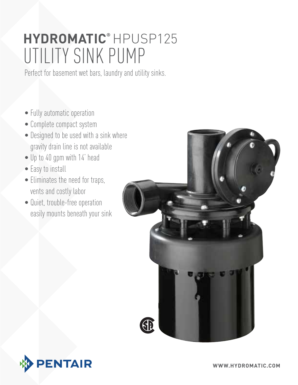# Utility Sink Pump **hydromatic®** HPUSP125

Perfect for basement wet bars, laundry and utility sinks.

- Fully automatic operation
- Complete compact system
- Designed to be used with a sink where gravity drain line is not available
- Up to 40 gpm with 14' head
- Easy to install
- Eliminates the need for traps, vents and costly labor
- Quiet, trouble-free operation easily mounts beneath your sink